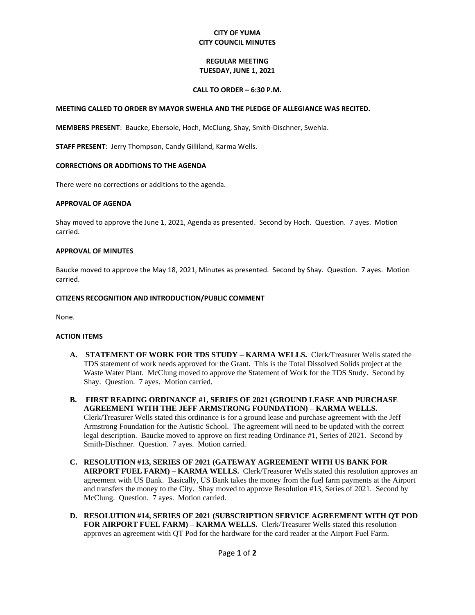# **CITY OF YUMA CITY COUNCIL MINUTES**

## **REGULAR MEETING TUESDAY, JUNE 1, 2021**

## **CALL TO ORDER – 6:30 P.M.**

## **MEETING CALLED TO ORDER BY MAYOR SWEHLA AND THE PLEDGE OF ALLEGIANCE WAS RECITED.**

**MEMBERS PRESENT**: Baucke, Ebersole, Hoch, McClung, Shay, Smith-Dischner, Swehla.

**STAFF PRESENT**: Jerry Thompson, Candy Gilliland, Karma Wells.

### **CORRECTIONS OR ADDITIONS TO THE AGENDA**

There were no corrections or additions to the agenda.

### **APPROVAL OF AGENDA**

Shay moved to approve the June 1, 2021, Agenda as presented. Second by Hoch. Question. 7 ayes. Motion carried.

#### **APPROVAL OF MINUTES**

Baucke moved to approve the May 18, 2021, Minutes as presented. Second by Shay. Question. 7 ayes. Motion carried.

### **CITIZENS RECOGNITION AND INTRODUCTION/PUBLIC COMMENT**

None.

## **ACTION ITEMS**

- **A. STATEMENT OF WORK FOR TDS STUDY – KARMA WELLS.** Clerk/Treasurer Wells stated the TDS statement of work needs approved for the Grant. This is the Total Dissolved Solids project at the Waste Water Plant. McClung moved to approve the Statement of Work for the TDS Study. Second by Shay. Question. 7 ayes. Motion carried.
- **B. FIRST READING ORDINANCE #1, SERIES OF 2021 (GROUND LEASE AND PURCHASE AGREEMENT WITH THE JEFF ARMSTRONG FOUNDATION) – KARMA WELLS.**  Clerk/Treasurer Wells stated this ordinance is for a ground lease and purchase agreement with the Jeff Armstrong Foundation for the Autistic School. The agreement will need to be updated with the correct legal description. Baucke moved to approve on first reading Ordinance #1, Series of 2021. Second by Smith-Dischner. Question. 7 ayes. Motion carried.
- **C. RESOLUTION #13, SERIES OF 2021 (GATEWAY AGREEMENT WITH US BANK FOR AIRPORT FUEL FARM) – KARMA WELLS.** Clerk/Treasurer Wells stated this resolution approves an agreement with US Bank. Basically, US Bank takes the money from the fuel farm payments at the Airport and transfers the money to the City. Shay moved to approve Resolution #13, Series of 2021. Second by McClung. Question. 7 ayes. Motion carried.
- **D. RESOLUTION #14, SERIES OF 2021 (SUBSCRIPTION SERVICE AGREEMENT WITH QT POD FOR AIRPORT FUEL FARM) – KARMA WELLS.** Clerk/Treasurer Wells stated this resolution approves an agreement with QT Pod for the hardware for the card reader at the Airport Fuel Farm.